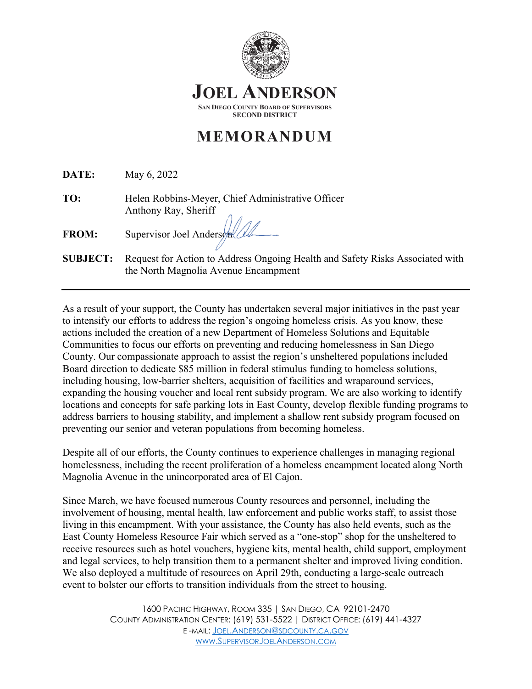

## **MEMORANDUM**

| DATE:           | May 6, 2022                                                                                                           |
|-----------------|-----------------------------------------------------------------------------------------------------------------------|
| TO:             | Helen Robbins-Meyer, Chief Administrative Officer                                                                     |
| <b>FROM:</b>    | Anthony Ray, Sheriff<br>Supervisor Joel Anders                                                                        |
| <b>SUBJECT:</b> | Request for Action to Address Ongoing Health and Safety Risks Associated with<br>the North Magnolia Avenue Encampment |

As a result of your support, the County has undertaken several major initiatives in the past year to intensify our efforts to address the region's ongoing homeless crisis. As you know, these actions included the creation of a new Department of Homeless Solutions and Equitable Communities to focus our efforts on preventing and reducing homelessness in San Diego County. Our compassionate approach to assist the region's unsheltered populations included Board direction to dedicate \$85 million in federal stimulus funding to homeless solutions, including housing, low-barrier shelters, acquisition of facilities and wraparound services, expanding the housing voucher and local rent subsidy program. We are also working to identify locations and concepts for safe parking lots in East County, develop flexible funding programs to address barriers to housing stability, and implement a shallow rent subsidy program focused on preventing our senior and veteran populations from becoming homeless.

Despite all of our efforts, the County continues to experience challenges in managing regional homelessness, including the recent proliferation of a homeless encampment located along North Magnolia Avenue in the unincorporated area of El Cajon.

Since March, we have focused numerous County resources and personnel, including the involvement of housing, mental health, law enforcement and public works staff, to assist those living in this encampment. With your assistance, the County has also held events, such as the East County Homeless Resource Fair which served as a "one-stop" shop for the unsheltered to receive resources such as hotel vouchers, hygiene kits, mental health, child support, employment and legal services, to help transition them to a permanent shelter and improved living condition. We also deployed a multitude of resources on April 29th, conducting a large-scale outreach event to bolster our efforts to transition individuals from the street to housing.

> 1600 PACIFIC HIGHWAY, ROOM 335 | SAN DIEGO, CA 92101-2470 COUNTY ADMINISTRATION CENTER: (619) 531-5522 | DISTRICT OFFICE: (619) 441-4327 E -MAIL: [JOEL.ANDERSON@SDCOUNTY.CA.GOV](mailto:Joel.Anderson@sdcounty.ca.gov) [WWW.SUPERVISORJOELANDERSON.COM](http://www.supervisorjoelanderson.com/)